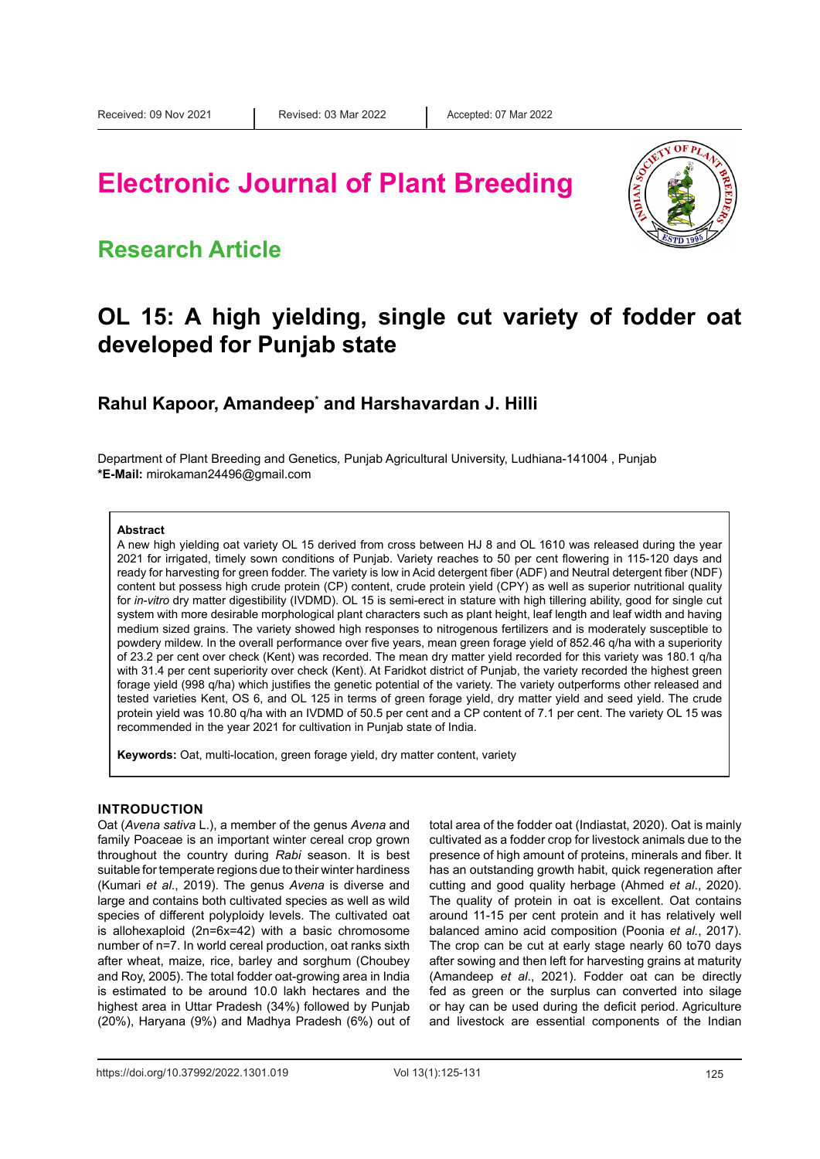# **Electronic Journal of Plant Breeding**

### **Research Article**



### **OL 15: A high yielding, single cut variety of fodder oat developed for Punjab state**

### **Rahul Kapoor, Amandeep\* and Harshavardan J. Hilli**

Department of Plant Breeding and Genetics*,* Punjab Agricultural University, Ludhiana-141004 , Punjab **\*E-Mail:** [mirokaman24496@gmail.com](mailto:mirokaman24496@gmail.com)

#### **Abstract**

A new high yielding oat variety OL 15 derived from cross between HJ 8 and OL 1610 was released during the year 2021 for irrigated, timely sown conditions of Punjab. Variety reaches to 50 per cent flowering in 115-120 days and ready for harvesting for green fodder. The variety is low in Acid detergent fiber (ADF) and Neutral detergent fiber (NDF) content but possess high crude protein (CP) content, crude protein yield (CPY) as well as superior nutritional quality for *in-vitro* dry matter digestibility (IVDMD). OL 15 is semi-erect in stature with high tillering ability, good for single cut system with more desirable morphological plant characters such as plant height, leaf length and leaf width and having medium sized grains. The variety showed high responses to nitrogenous fertilizers and is moderately susceptible to powdery mildew. In the overall performance over five years, mean green forage yield of 852.46 q/ha with a superiority of 23.2 per cent over check (Kent) was recorded. The mean dry matter yield recorded for this variety was 180.1 q/ha with 31.4 per cent superiority over check (Kent). At Faridkot district of Punjab, the variety recorded the highest green forage yield (998 q/ha) which justifies the genetic potential of the variety. The variety outperforms other released and tested varieties Kent, OS 6, and OL 125 in terms of green forage yield, dry matter yield and seed yield. The crude protein yield was 10.80 q/ha with an IVDMD of 50.5 per cent and a CP content of 7.1 per cent. The variety OL 15 was recommended in the year 2021 for cultivation in Punjab state of India.

**Keywords:** Oat, multi-location, green forage yield, dry matter content, variety

#### **INTRODUCTION**

Oat (*Avena sativa* L.), a member of the genus *Avena* and family Poaceae is an important winter cereal crop grown throughout the country during *Rabi* season. It is best suitable for temperate regions due to their winter hardiness (Kumari *et al*., 2019). The genus *Avena* is diverse and large and contains both cultivated species as well as wild species of different polyploidy levels. The cultivated oat is allohexaploid (2n=6x=42) with a basic chromosome number of n=7. In world cereal production, oat ranks sixth after wheat, maize, rice, barley and sorghum (Choubey and Roy, 2005). The total fodder oat-growing area in India is estimated to be around 10.0 lakh hectares and the highest area in Uttar Pradesh (34%) followed by Punjab (20%), Haryana (9%) and Madhya Pradesh (6%) out of total area of the fodder oat (Indiastat, 2020). Oat is mainly cultivated as a fodder crop for livestock animals due to the presence of high amount of proteins, minerals and fiber. It has an outstanding growth habit, quick regeneration after cutting and good quality herbage (Ahmed *et al*., 2020). The quality of protein in oat is excellent. Oat contains around 11-15 per cent protein and it has relatively well balanced amino acid composition (Poonia *et al.*, 2017). The crop can be cut at early stage nearly 60 to70 days after sowing and then left for harvesting grains at maturity (Amandeep *et al*., 2021). Fodder oat can be directly fed as green or the surplus can converted into silage or hay can be used during the deficit period. Agriculture and livestock are essential components of the Indian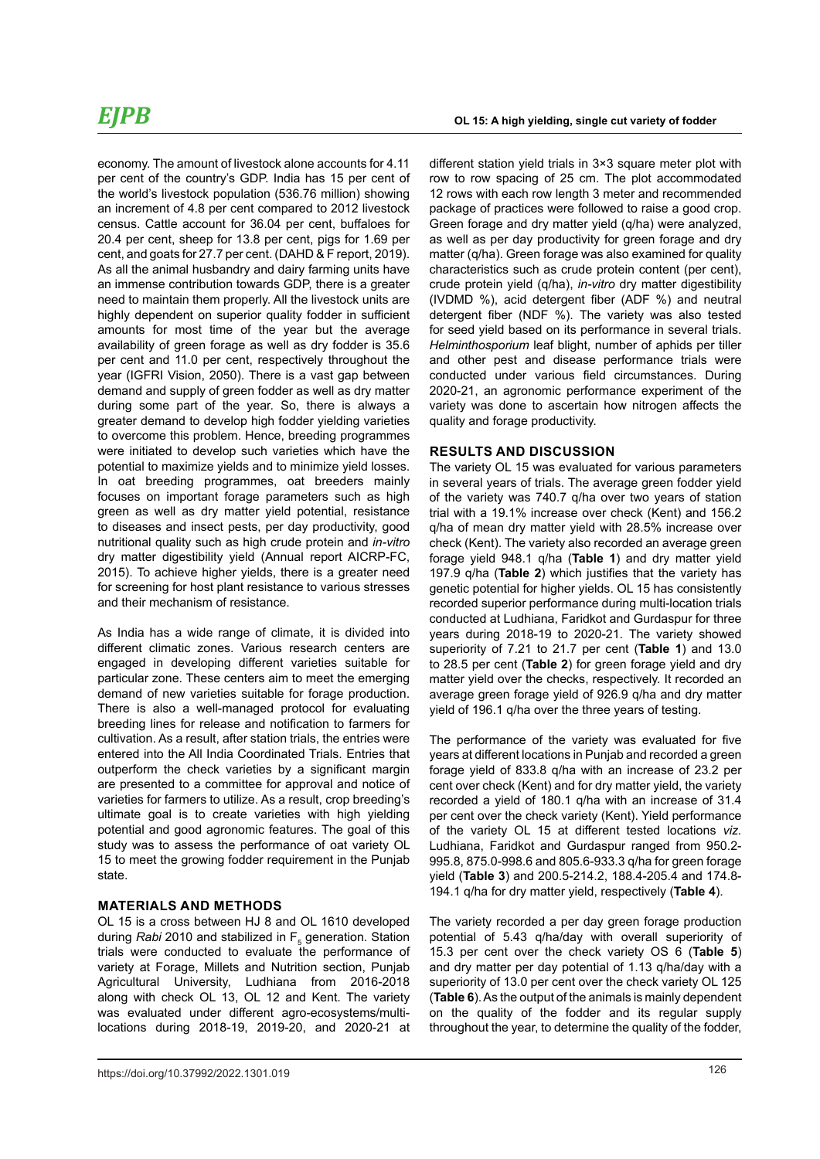economy. The amount of livestock alone accounts for 4.11 per cent of the country's GDP. India has 15 per cent of the world's livestock population (536.76 million) showing an increment of 4.8 per cent compared to 2012 livestock census. Cattle account for 36.04 per cent, buffaloes for 20.4 per cent, sheep for 13.8 per cent, pigs for 1.69 per cent, and goats for 27.7 per cent. (DAHD & F report, 2019). As all the animal husbandry and dairy farming units have an immense contribution towards GDP, there is a greater need to maintain them properly. All the livestock units are highly dependent on superior quality fodder in sufficient amounts for most time of the year but the average availability of green forage as well as dry fodder is 35.6 per cent and 11.0 per cent, respectively throughout the year (IGFRI Vision, 2050). There is a vast gap between demand and supply of green fodder as well as dry matter during some part of the year. So, there is always a greater demand to develop high fodder yielding varieties to overcome this problem. Hence, breeding programmes were initiated to develop such varieties which have the potential to maximize yields and to minimize yield losses. In oat breeding programmes, oat breeders mainly focuses on important forage parameters such as high green as well as dry matter yield potential, resistance to diseases and insect pests, per day productivity, good nutritional quality such as high crude protein and *in-vitro* dry matter digestibility yield (Annual report AICRP-FC, 2015). To achieve higher yields, there is a greater need for screening for host plant resistance to various stresses and their mechanism of resistance.

As India has a wide range of climate, it is divided into different climatic zones. Various research centers are engaged in developing different varieties suitable for particular zone. These centers aim to meet the emerging demand of new varieties suitable for forage production. There is also a well-managed protocol for evaluating breeding lines for release and notification to farmers for cultivation. As a result, after station trials, the entries were entered into the All India Coordinated Trials. Entries that outperform the check varieties by a significant margin are presented to a committee for approval and notice of varieties for farmers to utilize. As a result, crop breeding's ultimate goal is to create varieties with high yielding potential and good agronomic features. The goal of this study was to assess the performance of oat variety OL 15 to meet the growing fodder requirement in the Punjab state.

#### **MATERIALS AND METHODS**

OL 15 is a cross between HJ 8 and OL 1610 developed during *Rabi* 2010 and stabilized in F<sub>5</sub> generation. Station trials were conducted to evaluate the performance of variety at Forage, Millets and Nutrition section, Punjab Agricultural University, Ludhiana from 2016-2018 along with check OL 13, OL 12 and Kent. The variety was evaluated under different agro-ecosystems/multilocations during 2018-19, 2019-20, and 2020-21 at

different station yield trials in 3×3 square meter plot with row to row spacing of 25 cm. The plot accommodated 12 rows with each row length 3 meter and recommended package of practices were followed to raise a good crop. Green forage and dry matter yield (q/ha) were analyzed, as well as per day productivity for green forage and dry matter (q/ha). Green forage was also examined for quality characteristics such as crude protein content (per cent), crude protein yield (q/ha), *in-vitro* dry matter digestibility (IVDMD %), acid detergent fiber (ADF %) and neutral detergent fiber (NDF %). The variety was also tested for seed yield based on its performance in several trials. *Helminthosporium* leaf blight, number of aphids per tiller and other pest and disease performance trials were conducted under various field circumstances. During 2020-21, an agronomic performance experiment of the variety was done to ascertain how nitrogen affects the quality and forage productivity.

#### **RESULTS AND DISCUSSION**

The variety OL 15 was evaluated for various parameters in several years of trials. The average green fodder yield of the variety was 740.7 q/ha over two years of station trial with a 19.1% increase over check (Kent) and 156.2 q/ha of mean dry matter yield with 28.5% increase over check (Kent). The variety also recorded an average green forage yield 948.1 q/ha (**Table 1**) and dry matter yield 197.9 q/ha (**Table 2**) which justifies that the variety has genetic potential for higher yields. OL 15 has consistently recorded superior performance during multi-location trials conducted at Ludhiana, Faridkot and Gurdaspur for three years during 2018-19 to 2020-21. The variety showed superiority of 7.21 to 21.7 per cent (**Table 1**) and 13.0 to 28.5 per cent (**Table 2**) for green forage yield and dry matter yield over the checks, respectively. It recorded an average green forage yield of 926.9 q/ha and dry matter yield of 196.1 q/ha over the three years of testing.

The performance of the variety was evaluated for five years at different locations in Punjab and recorded a green forage yield of 833.8 q/ha with an increase of 23.2 per cent over check (Kent) and for dry matter yield, the variety recorded a yield of 180.1 q/ha with an increase of 31.4 per cent over the check variety (Kent). Yield performance of the variety OL 15 at different tested locations *viz.* Ludhiana, Faridkot and Gurdaspur ranged from 950.2- 995.8, 875.0-998.6 and 805.6-933.3 q/ha for green forage yield (**Table 3**) and 200.5-214.2, 188.4-205.4 and 174.8- 194.1 q/ha for dry matter yield, respectively (**Table 4**).

The variety recorded a per day green forage production potential of 5.43 q/ha/day with overall superiority of 15.3 per cent over the check variety OS 6 (**Table 5**) and dry matter per day potential of 1.13 q/ha/day with a superiority of 13.0 per cent over the check variety OL 125 (**Table 6**). As the output of the animals is mainly dependent on the quality of the fodder and its regular supply throughout the year, to determine the quality of the fodder,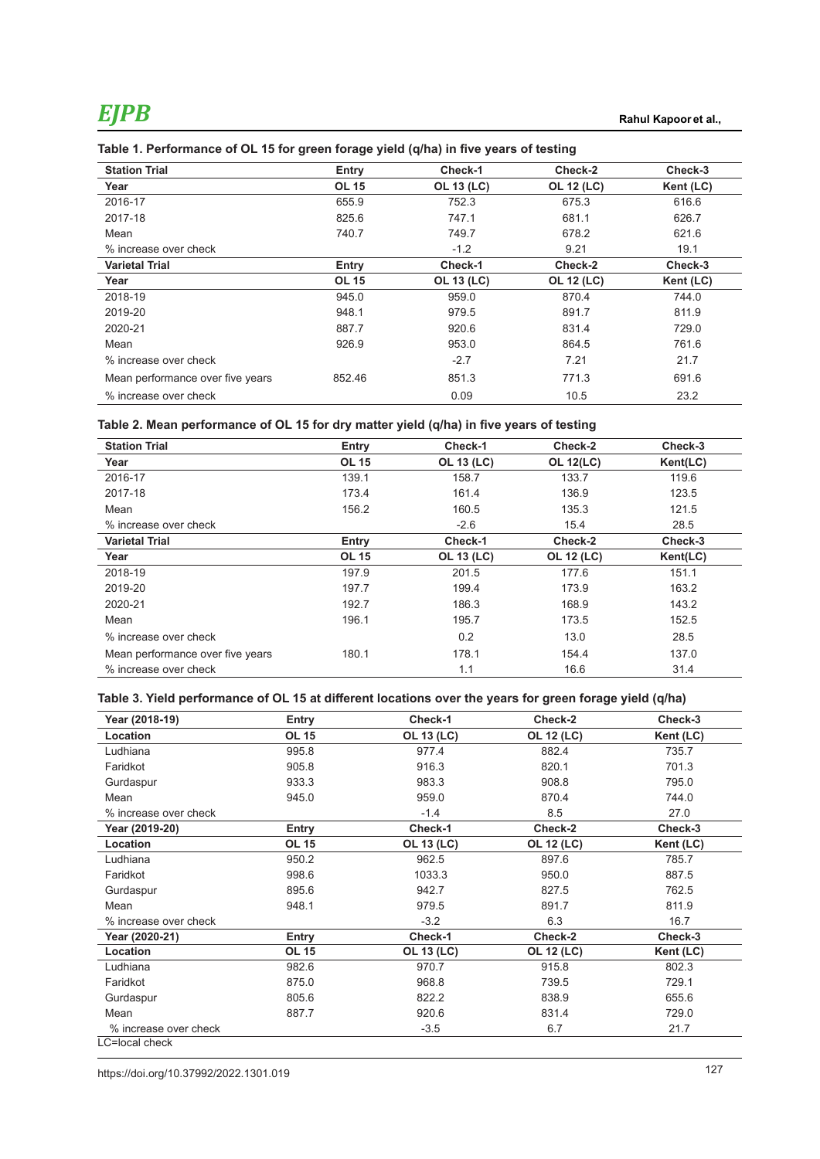| <b>Station Trial</b>             | Entry        | Check-1           | Check-2           | Check-3   |
|----------------------------------|--------------|-------------------|-------------------|-----------|
| Year                             | <b>OL 15</b> | <b>OL 13 (LC)</b> | <b>OL 12 (LC)</b> | Kent (LC) |
| 2016-17                          | 655.9        | 752.3             | 675.3             | 616.6     |
| 2017-18                          | 825.6        | 747.1             | 681.1             | 626.7     |
| Mean                             | 740.7        | 749.7             | 678.2             | 621.6     |
| % increase over check            |              | $-1.2$            | 9.21              | 19.1      |
| <b>Varietal Trial</b>            | Entry        | Check-1           | Check-2           | Check-3   |
| Year                             | <b>OL 15</b> | <b>OL 13 (LC)</b> | <b>OL 12 (LC)</b> | Kent (LC) |
| 2018-19                          | 945.0        | 959.0             | 870.4             | 744.0     |
| 2019-20                          | 948.1        | 979.5             | 891.7             | 811.9     |
| 2020-21                          | 887.7        | 920.6             | 831.4             | 729.0     |
| Mean                             | 926.9        | 953.0             | 864.5             | 761.6     |
| % increase over check            |              | $-2.7$            | 7.21              | 21.7      |
| Mean performance over five years | 852.46       | 851.3             | 771.3             | 691.6     |
| % increase over check            |              | 0.09              | 10.5              | 23.2      |

#### **Table 1. Performance of OL 15 for green forage yield (q/ha) in five years of testing**

#### **Table 2. Mean performance of OL 15 for dry matter yield (q/ha) in five years of testing**

| <b>Station Trial</b>             | Entry        | Check-1           | Check-2           | Check-3  |
|----------------------------------|--------------|-------------------|-------------------|----------|
| Year                             | <b>OL 15</b> | <b>OL 13 (LC)</b> | <b>OL 12(LC)</b>  | Kent(LC) |
| 2016-17                          | 139.1        | 158.7             | 133.7             | 119.6    |
| 2017-18                          | 173.4        | 161.4             | 136.9             | 123.5    |
| Mean                             | 156.2        | 160.5             | 135.3             | 121.5    |
| % increase over check            |              | $-2.6$            | 15.4              | 28.5     |
| <b>Varietal Trial</b>            | Entry        | Check-1           | Check-2           | Check-3  |
| Year                             | <b>OL 15</b> | <b>OL 13 (LC)</b> | <b>OL 12 (LC)</b> | Kent(LC) |
| 2018-19                          | 197.9        | 201.5             | 177.6             | 151.1    |
| 2019-20                          | 197.7        | 199.4             | 173.9             | 163.2    |
| 2020-21                          | 192.7        | 186.3             | 168.9             | 143.2    |
| Mean                             | 196.1        | 195.7             | 173.5             | 152.5    |
| % increase over check            |              | 0.2               | 13.0              | 28.5     |
| Mean performance over five years | 180.1        | 178.1             | 154.4             | 137.0    |
| % increase over check            |              | 1.1               | 16.6              | 31.4     |

### **Table 3. Yield performance of OL 15 at different locations over the years for green forage yield (q/ha)**

| Year (2018-19)        | Entry        | Check-1           | Check-2           | Check-3   |
|-----------------------|--------------|-------------------|-------------------|-----------|
| Location              | <b>OL 15</b> | <b>OL 13 (LC)</b> | <b>OL 12 (LC)</b> | Kent (LC) |
| Ludhiana              | 995.8        | 977.4             | 882.4             | 735.7     |
| Faridkot              | 905.8        | 916.3             | 820.1             | 701.3     |
| Gurdaspur             | 933.3        | 983.3             | 908.8             | 795.0     |
| Mean                  | 945.0        | 959.0             | 870.4             | 744.0     |
| % increase over check |              | $-1.4$            | 8.5               | 27.0      |
| Year (2019-20)        | Entry        | Check-1           | Check-2           | Check-3   |
| Location              | <b>OL 15</b> | <b>OL 13 (LC)</b> | <b>OL 12 (LC)</b> | Kent (LC) |
| Ludhiana              | 950.2        | 962.5             | 897.6             | 785.7     |
| Faridkot              | 998.6        | 1033.3            | 950.0             | 887.5     |
| Gurdaspur             | 895.6        | 942.7             | 827.5             | 762.5     |
| Mean                  | 948.1        | 979.5             | 891.7             | 811.9     |
| % increase over check |              | $-3.2$            | 6.3               | 16.7      |
| Year (2020-21)        | Entry        | Check-1           | Check-2           | Check-3   |
| Location              | <b>OL 15</b> | <b>OL 13 (LC)</b> | <b>OL 12 (LC)</b> | Kent (LC) |
| Ludhiana              | 982.6        | 970.7             | 915.8             | 802.3     |
| Faridkot              | 875.0        | 968.8             | 739.5             | 729.1     |
| Gurdaspur             | 805.6        | 822.2             | 838.9             | 655.6     |
| Mean                  | 887.7        | 920.6             | 831.4             | 729.0     |
| % increase over check |              | $-3.5$            | 6.7               | 21.7      |
| LC=local check        |              |                   |                   |           |

127 https://doi.org/10.37992/2022.1301.019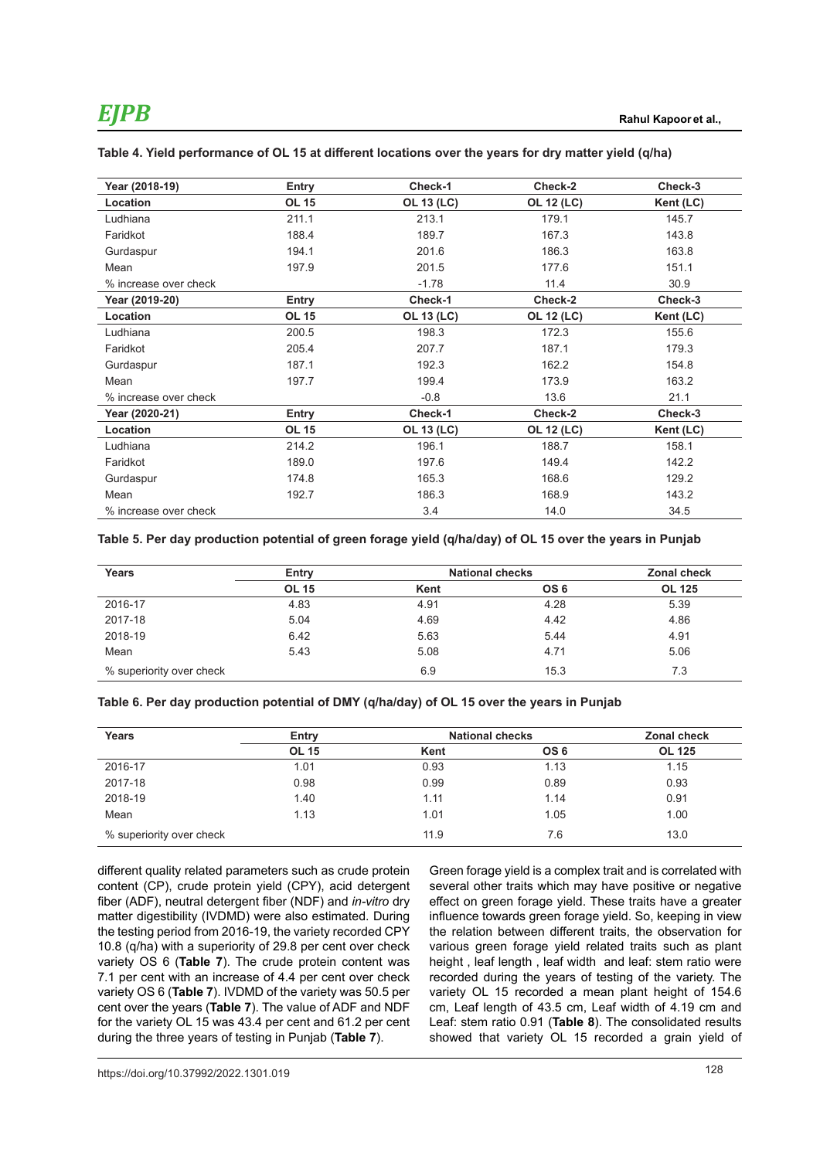| Year (2018-19)           | Entry        | Check-1           | Check-2           | Check-3   |
|--------------------------|--------------|-------------------|-------------------|-----------|
| Location                 | <b>OL 15</b> | <b>OL 13 (LC)</b> | <b>OL 12 (LC)</b> | Kent (LC) |
| Ludhiana                 | 211.1        | 213.1             | 179.1             | 145.7     |
| Faridkot                 | 188.4        | 189.7             | 167.3             | 143.8     |
| Gurdaspur                | 194.1        | 201.6             | 186.3             | 163.8     |
| Mean                     | 197.9        | 201.5             | 177.6             | 151.1     |
| % increase over check    |              | $-1.78$           | 11.4              | 30.9      |
| Year (2019-20)           | Entry        | Check-1           | Check-2           | Check-3   |
| Location                 | <b>OL 15</b> | <b>OL 13 (LC)</b> | <b>OL 12 (LC)</b> | Kent (LC) |
| Ludhiana                 | 200.5        | 198.3             | 172.3             | 155.6     |
| Faridkot                 | 205.4        | 207.7             | 187.1             | 179.3     |
| Gurdaspur                | 187.1        | 192.3             | 162.2             | 154.8     |
| Mean                     | 197.7        | 199.4             | 173.9             | 163.2     |
| % increase over check    |              | $-0.8$            | 13.6              | 21.1      |
| Year (2020-21)           | Entry        | Check-1           | Check-2           | Check-3   |
| Location                 | <b>OL 15</b> | OL 13 (LC)        | <b>OL 12 (LC)</b> | Kent (LC) |
| Ludhiana                 | 214.2        | 196.1             | 188.7             | 158.1     |
| Faridkot                 | 189.0        | 197.6             | 149.4             | 142.2     |
| Gurdaspur                | 174.8        | 165.3             | 168.6             | 129.2     |
| Mean                     | 192.7        | 186.3             | 168.9             | 143.2     |
| $\%$ increase over check |              | 3.4               | 14.0              | 34.5      |

#### **Table 4. Yield performance of OL 15 at different locations over the years for dry matter yield (q/ha)**

**Table 5. Per day production potential of green forage yield (q/ha/day) of OL 15 over the years in Punjab**

| Years                    | Entry        |      | <b>National checks</b> | <b>Zonal check</b> |
|--------------------------|--------------|------|------------------------|--------------------|
|                          | <b>OL 15</b> | Kent | OS <sub>6</sub>        | <b>OL 125</b>      |
| 2016-17                  | 4.83         | 4.91 | 4.28                   | 5.39               |
| 2017-18                  | 5.04         | 4.69 | 4.42                   | 4.86               |
| 2018-19                  | 6.42         | 5.63 | 5.44                   | 4.91               |
| Mean                     | 5.43         | 5.08 | 4.71                   | 5.06               |
| % superiority over check |              | 6.9  | 15.3                   | 7.3                |

#### **Table 6. Per day production potential of DMY (q/ha/day) of OL 15 over the years in Punjab**

| Years                    | Entry        |      | <b>National checks</b> |               |
|--------------------------|--------------|------|------------------------|---------------|
|                          | <b>OL 15</b> | Kent | OS <sub>6</sub>        | <b>OL 125</b> |
| 2016-17                  | 1.01         | 0.93 | 1.13                   | 1.15          |
| 2017-18                  | 0.98         | 0.99 | 0.89                   | 0.93          |
| 2018-19                  | 1.40         | 1.11 | 1.14                   | 0.91          |
| Mean                     | 1.13         | 1.01 | 1.05                   | 1.00          |
| % superiority over check |              | 11.9 | 7.6                    | 13.0          |

different quality related parameters such as crude protein content (CP), crude protein yield (CPY), acid detergent fiber (ADF), neutral detergent fiber (NDF) and *in-vitro* dry matter digestibility (IVDMD) were also estimated. During the testing period from 2016-19, the variety recorded CPY 10.8 (q/ha) with a superiority of 29.8 per cent over check variety OS 6 (**Table 7**). The crude protein content was 7.1 per cent with an increase of 4.4 per cent over check variety OS 6 (**Table 7**). IVDMD of the variety was 50.5 per cent over the years (**Table 7**). The value of ADF and NDF for the variety OL 15 was 43.4 per cent and 61.2 per cent during the three years of testing in Punjab (**Table 7**).

Green forage yield is a complex trait and is correlated with several other traits which may have positive or negative effect on green forage yield. These traits have a greater influence towards green forage yield. So, keeping in view the relation between different traits, the observation for various green forage yield related traits such as plant height , leaf length , leaf width and leaf: stem ratio were recorded during the years of testing of the variety. The variety OL 15 recorded a mean plant height of 154.6 cm, Leaf length of 43.5 cm, Leaf width of 4.19 cm and Leaf: stem ratio 0.91 (**Table 8**). The consolidated results showed that variety OL 15 recorded a grain yield of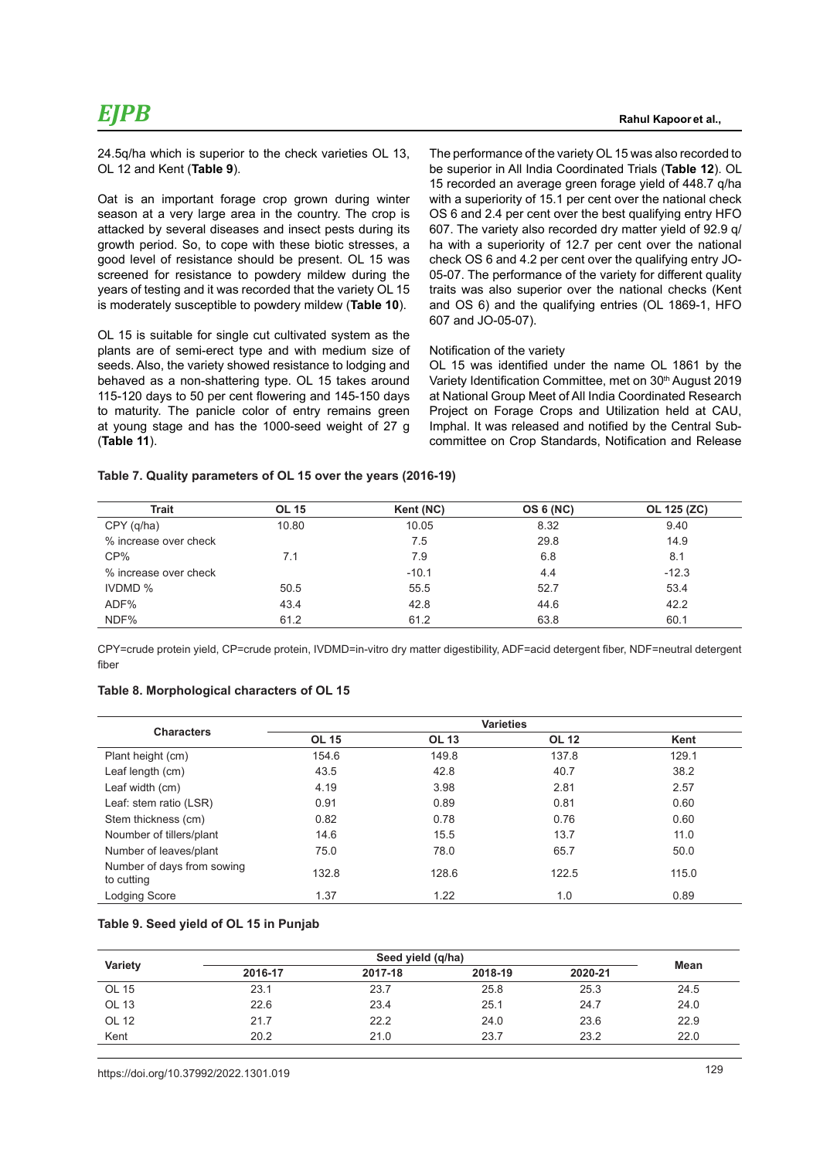24.5q/ha which is superior to the check varieties OL 13, OL 12 and Kent (**Table 9**).

Oat is an important forage crop grown during winter season at a very large area in the country. The crop is attacked by several diseases and insect pests during its growth period. So, to cope with these biotic stresses, a good level of resistance should be present. OL 15 was screened for resistance to powdery mildew during the years of testing and it was recorded that the variety OL 15 is moderately susceptible to powdery mildew (**Table 10**).

OL 15 is suitable for single cut cultivated system as the plants are of semi-erect type and with medium size of seeds. Also, the variety showed resistance to lodging and behaved as a non-shattering type. OL 15 takes around 115-120 days to 50 per cent flowering and 145-150 days to maturity. The panicle color of entry remains green at young stage and has the 1000-seed weight of 27 g (**Table 11**).

The performance of the variety OL 15 was also recorded to be superior in All India Coordinated Trials (**Table 12**). OL 15 recorded an average green forage yield of 448.7 q/ha with a superiority of 15.1 per cent over the national check OS 6 and 2.4 per cent over the best qualifying entry HFO 607. The variety also recorded dry matter yield of 92.9 q/ ha with a superiority of 12.7 per cent over the national check OS 6 and 4.2 per cent over the qualifying entry JO-05-07. The performance of the variety for different quality traits was also superior over the national checks (Kent and OS 6) and the qualifying entries (OL 1869-1, HFO 607 and JO-05-07).

#### Notification of the variety

OL 15 was identified under the name OL 1861 by the Variety Identification Committee, met on 30<sup>th</sup> August 2019 at National Group Meet of All India Coordinated Research Project on Forage Crops and Utilization held at CAU, Imphal. It was released and notified by the Central Subcommittee on Crop Standards, Notification and Release

#### **Table 7. Quality parameters of OL 15 over the years (2016-19)**

| <b>OL 15</b><br><b>Trait</b> |       | Kent (NC) | <b>OS 6 (NC)</b> | OL 125 (ZC) |
|------------------------------|-------|-----------|------------------|-------------|
| CPY (q/ha)                   | 10.80 | 10.05     | 8.32             | 9.40        |
| % increase over check        |       | 7.5       | 29.8             | 14.9        |
| CP%                          | 7.1   | 7.9       | 6.8              | 8.1         |
| % increase over check        |       | $-10.1$   | 4.4              | $-12.3$     |
| <b>IVDMD %</b>               | 50.5  | 55.5      | 52.7             | 53.4        |
| ADF%                         | 43.4  | 42.8      | 44.6             | 42.2        |
| NDF%                         | 61.2  | 61.2      | 63.8             | 60.1        |

CPY=crude protein yield, CP=crude protein, IVDMD=in-vitro dry matter digestibility, ADF=acid detergent fiber, NDF=neutral detergent fiber

#### **Table 8. Morphological characters of OL 15**

| <b>Characters</b>                        |              |              | <b>Varieties</b> |       |
|------------------------------------------|--------------|--------------|------------------|-------|
|                                          | <b>OL 15</b> | <b>OL 13</b> | <b>OL 12</b>     | Kent  |
| Plant height (cm)                        | 154.6        | 149.8        | 137.8            | 129.1 |
| Leaf length (cm)                         | 43.5         | 42.8         | 40.7             | 38.2  |
| Leaf width (cm)                          | 4.19         | 3.98         | 2.81             | 2.57  |
| Leaf: stem ratio (LSR)                   | 0.91         | 0.89         | 0.81             | 0.60  |
| Stem thickness (cm)                      | 0.82         | 0.78         | 0.76             | 0.60  |
| Noumber of tillers/plant                 | 14.6         | 15.5         | 13.7             | 11.0  |
| Number of leaves/plant                   | 75.0         | 78.0         | 65.7             | 50.0  |
| Number of days from sowing<br>to cutting | 132.8        | 128.6        | 122.5            | 115.0 |
| <b>Lodging Score</b>                     | 1.37         | 1.22         | 1.0              | 0.89  |

#### **Table 9. Seed yield of OL 15 in Punjab**

| Variety |         | Seed yield (q/ha) |         |         |      |
|---------|---------|-------------------|---------|---------|------|
|         | 2016-17 | 2017-18           | 2018-19 | 2020-21 | Mean |
| OL 15   | 23.1    | 23.7              | 25.8    | 25.3    | 24.5 |
| OL 13   | 22.6    | 23.4              | 25.1    | 24.7    | 24.0 |
| OL 12   | 21.7    | 22.2              | 24.0    | 23.6    | 22.9 |
| Kent    | 20.2    | 21.0              | 23.7    | 23.2    | 22.0 |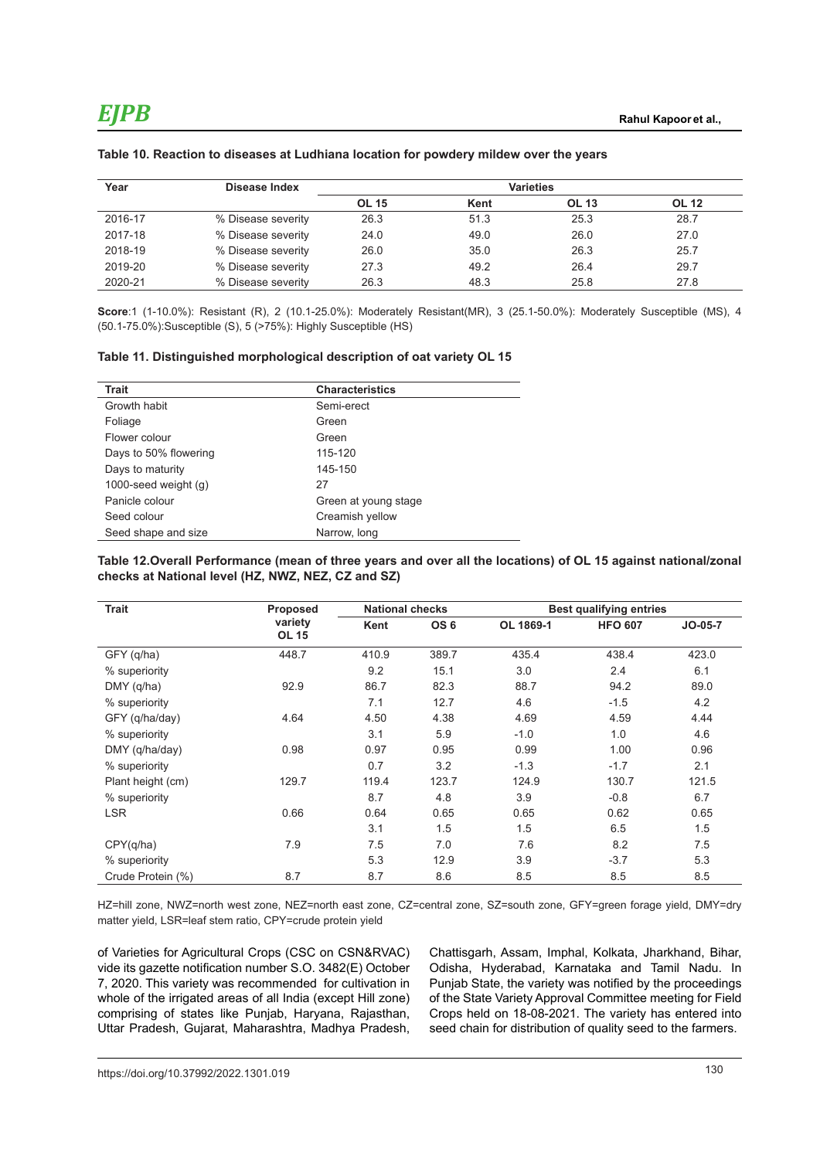| Year    | Disease Index      |              |      | <b>Varieties</b> |              |
|---------|--------------------|--------------|------|------------------|--------------|
|         |                    | <b>OL 15</b> | Kent | <b>OL 13</b>     | <b>OL 12</b> |
| 2016-17 | % Disease severity | 26.3         | 51.3 | 25.3             | 28.7         |
| 2017-18 | % Disease severity | 24.0         | 49.0 | 26.0             | 27.0         |
| 2018-19 | % Disease severity | 26.0         | 35.0 | 26.3             | 25.7         |
| 2019-20 | % Disease severity | 27.3         | 49.2 | 26.4             | 29.7         |
| 2020-21 | % Disease severity | 26.3         | 48.3 | 25.8             | 27.8         |

#### **Table 10. Reaction to diseases at Ludhiana location for powdery mildew over the years**

**Score**:1 (1-10.0%): Resistant (R), 2 (10.1-25.0%): Moderately Resistant(MR), 3 (25.1-50.0%): Moderately Susceptible (MS), 4 (50.1-75.0%):Susceptible (S), 5 (>75%): Highly Susceptible (HS)

#### **Table 11. Distinguished morphological description of oat variety OL 15**

| <b>Trait</b>           | <b>Characteristics</b> |
|------------------------|------------------------|
| Growth habit           | Semi-erect             |
| Foliage                | Green                  |
| Flower colour          | Green                  |
| Days to 50% flowering  | 115-120                |
| Days to maturity       | 145-150                |
| 1000-seed weight $(q)$ | 27                     |
| Panicle colour         | Green at young stage   |
| Seed colour            | Creamish yellow        |
| Seed shape and size    | Narrow, long           |

#### **Table 12.Overall Performance (mean of three years and over all the locations) of OL 15 against national/zonal checks at National level (HZ, NWZ, NEZ, CZ and SZ)**

| <b>Trait</b>      | <b>Proposed</b>         | <b>National checks</b> |                 |           | <b>Best qualifying entries</b> |           |
|-------------------|-------------------------|------------------------|-----------------|-----------|--------------------------------|-----------|
|                   | variety<br><b>OL 15</b> | Kent                   | OS <sub>6</sub> | OL 1869-1 | <b>HFO 607</b>                 | $JO-05-7$ |
| GFY (q/ha)        | 448.7                   | 410.9                  | 389.7           | 435.4     | 438.4                          | 423.0     |
| % superiority     |                         | 9.2                    | 15.1            | 3.0       | 2.4                            | 6.1       |
| $DMY$ (q/ha)      | 92.9                    | 86.7                   | 82.3            | 88.7      | 94.2                           | 89.0      |
| % superiority     |                         | 7.1                    | 12.7            | 4.6       | $-1.5$                         | 4.2       |
| GFY (q/ha/day)    | 4.64                    | 4.50                   | 4.38            | 4.69      | 4.59                           | 4.44      |
| % superiority     |                         | 3.1                    | 5.9             | $-1.0$    | 1.0                            | 4.6       |
| DMY (q/ha/day)    | 0.98                    | 0.97                   | 0.95            | 0.99      | 1.00                           | 0.96      |
| % superiority     |                         | 0.7                    | 3.2             | $-1.3$    | $-1.7$                         | 2.1       |
| Plant height (cm) | 129.7                   | 119.4                  | 123.7           | 124.9     | 130.7                          | 121.5     |
| % superiority     |                         | 8.7                    | 4.8             | 3.9       | $-0.8$                         | 6.7       |
| <b>LSR</b>        | 0.66                    | 0.64                   | 0.65            | 0.65      | 0.62                           | 0.65      |
|                   |                         | 3.1                    | 1.5             | 1.5       | 6.5                            | 1.5       |
| CPY(q/ha)         | 7.9                     | 7.5                    | 7.0             | 7.6       | 8.2                            | 7.5       |
| % superiority     |                         | 5.3                    | 12.9            | 3.9       | $-3.7$                         | 5.3       |
| Crude Protein (%) | 8.7                     | 8.7                    | 8.6             | 8.5       | 8.5                            | 8.5       |

HZ=hill zone, NWZ=north west zone, NEZ=north east zone, CZ=central zone, SZ=south zone, GFY=green forage yield, DMY=dry matter yield, LSR=leaf stem ratio, CPY=crude protein yield

of Varieties for Agricultural Crops (CSC on CSN&RVAC) vide its gazette notification number S.O. 3482(E) October 7, 2020. This variety was recommended for cultivation in whole of the irrigated areas of all India (except Hill zone) comprising of states like Punjab, Haryana, Rajasthan, Uttar Pradesh, Gujarat, Maharashtra, Madhya Pradesh,

Chattisgarh, Assam, Imphal, Kolkata, Jharkhand, Bihar, Odisha, Hyderabad, Karnataka and Tamil Nadu. In Punjab State, the variety was notified by the proceedings of the State Variety Approval Committee meeting for Field Crops held on 18-08-2021. The variety has entered into seed chain for distribution of quality seed to the farmers.